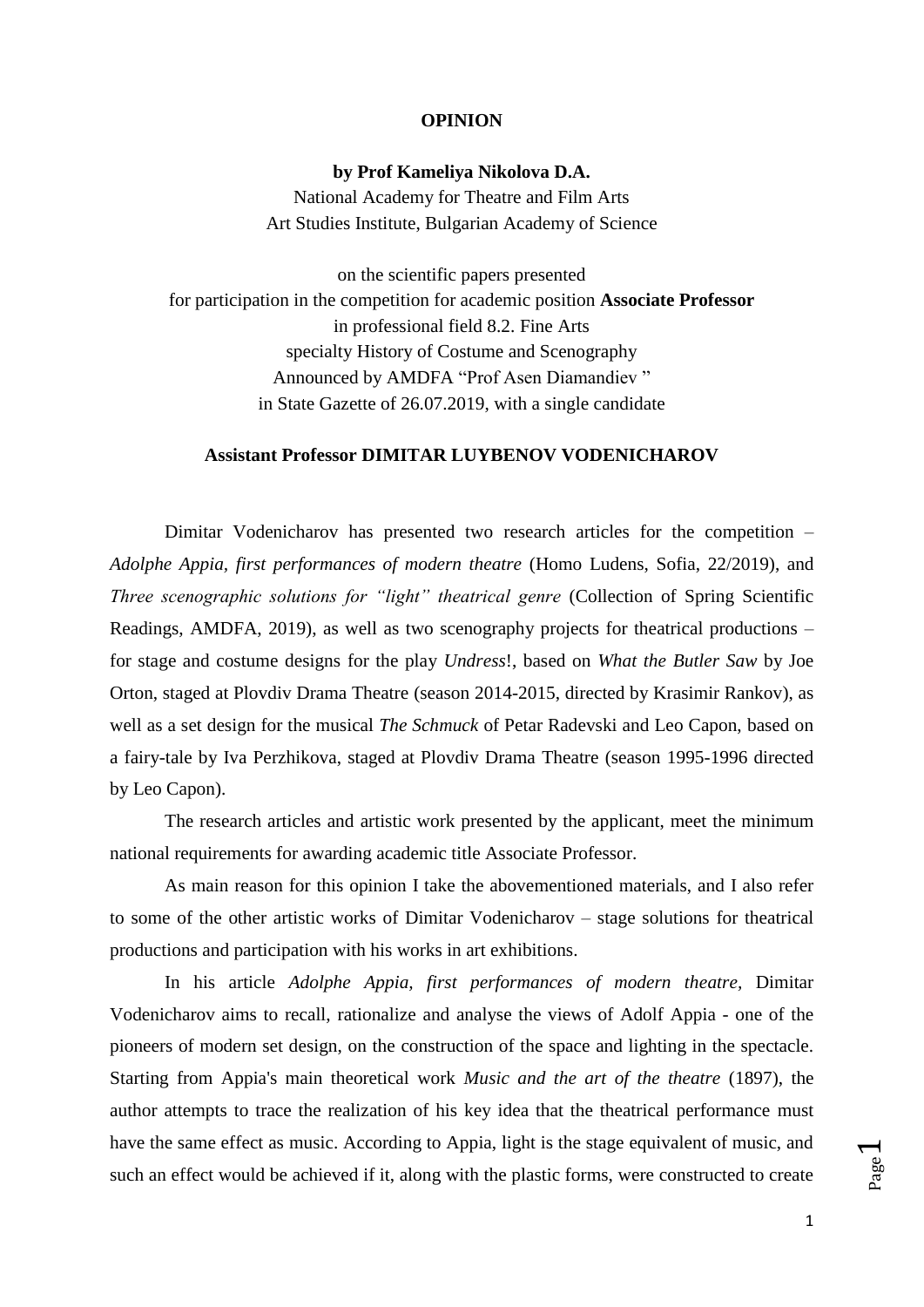## **OPINION**

## **by Prof Kameliya Nikolova D.A.**

National Academy for Theatre and Film Arts Art Studies Institute, Bulgarian Academy of Science

on the scientific papers presented for participation in the competition for academic position **Associate Professor** in professional field 8.2. Fine Arts specialty History of Costume and Scenography Announced by AMDFA "Prof Asen Diamandiev " in State Gazette of 26.07.2019, with a single candidate

## **Assistant Professor DIMITAR LUYBENOV VODENICHAROV**

Dimitar Vodenicharov has presented two research articles for the competition – *Adolphe Appia, first performances of modern theatre* (Homo Ludens, Sofia, 22/2019), and *Three scenographic solutions for "light" theatrical genre* (Collection of Spring Scientific Readings, AMDFA, 2019), as well as two scenography projects for theatrical productions – for stage and costume designs for the play *Undress*!, based on *What the Butler Saw* by Joe Orton, staged at Plovdiv Drama Theatre (season 2014-2015, directed by Krasimir Rankov), as well as a set design for the musical *The Schmuck* of Petar Radevski and Leo Capon, based on a fairy-tale by Iva Perzhikova, staged at Plovdiv Drama Theatre (season 1995-1996 directed by Leo Capon).

The research articles and artistic work presented by the applicant, meet the minimum national requirements for awarding academic title Associate Professor.

As main reason for this opinion I take the abovementioned materials, and I also refer to some of the other artistic works of Dimitar Vodenicharov – stage solutions for theatrical productions and participation with his works in art exhibitions.

In his article *Adolphe Appia, first performances of modern theatre,* Dimitar Vodenicharov aims to recall, rationalize and analyse the views of Adolf Appia - one of the pioneers of modern set design, on the construction of the space and lighting in the spectacle. Starting from Appia's main theoretical work *Music and the art of the theatre* (1897), the author attempts to trace the realization of his key idea that the theatrical performance must have the same effect as music. According to Appia, light is the stage equivalent of music, and such an effect would be achieved if it, along with the plastic forms, were constructed to create

Page  $\overline{\phantom{0}}$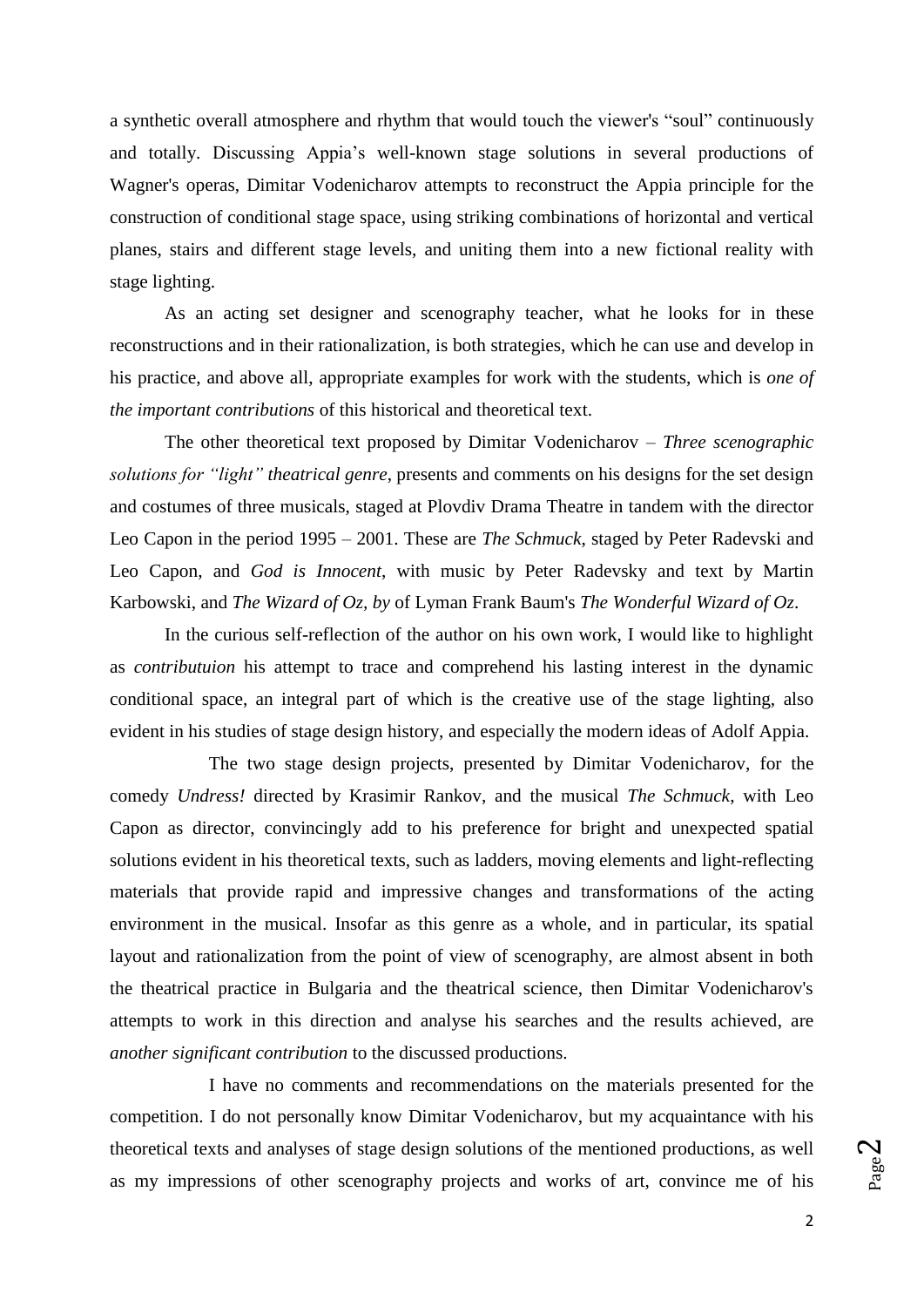a synthetic overall atmosphere and rhythm that would touch the viewer's "soul" continuously and totally. Discussing Appia's well-known stage solutions in several productions of Wagner's operas, Dimitar Vodenicharov attempts to reconstruct the Appia principle for the construction of conditional stage space, using striking combinations of horizontal and vertical planes, stairs and different stage levels, and uniting them into a new fictional reality with stage lighting.

As an acting set designer and scenography teacher, what he looks for in these reconstructions and in their rationalization, is both strategies, which he can use and develop in his practice, and above all, appropriate examples for work with the students, which is *one of the important contributions* of this historical and theoretical text.

The other theoretical text proposed by Dimitar Vodenicharov – *Three scenographic solutions for "light" theatrical genre*, presents and comments on his designs for the set design and costumes of three musicals, staged at Plovdiv Drama Theatre in tandem with the director Leo Capon in the period 1995 – 2001. These are *The Schmuck*, staged by Peter Radevski and Leo Capon, and *God is Innocent*, with music by Peter Radevsky and text by Martin Karbowski, and *The Wizard of Oz, by* of Lyman Frank Baum's *The Wonderful Wizard of Oz*.

In the curious self-reflection of the author on his own work, I would like to highlight as *contributuion* his attempt to trace and comprehend his lasting interest in the dynamic conditional space, an integral part of which is the creative use of the stage lighting, also evident in his studies of stage design history, and especially the modern ideas of Adolf Appia.

The two stage design projects, presented by Dimitar Vodenicharov, for the comedy *Undress!* directed by Krasimir Rankov, and the musical *The Schmuck*, with Leo Capon as director, convincingly add to his preference for bright and unexpected spatial solutions evident in his theoretical texts, such as ladders, moving elements and light-reflecting materials that provide rapid and impressive changes and transformations of the acting environment in the musical. Insofar as this genre as a whole, and in particular, its spatial layout and rationalization from the point of view of scenography, are almost absent in both the theatrical practice in Bulgaria and the theatrical science, then Dimitar Vodenicharov's attempts to work in this direction and analyse his searches and the results achieved, are *another significant contribution* to the discussed productions.

I have no comments and recommendations on the materials presented for the competition. I do not personally know Dimitar Vodenicharov, but my acquaintance with his theoretical texts and analyses of stage design solutions of the mentioned productions, as well as my impressions of other scenography projects and works of art, convince me of his